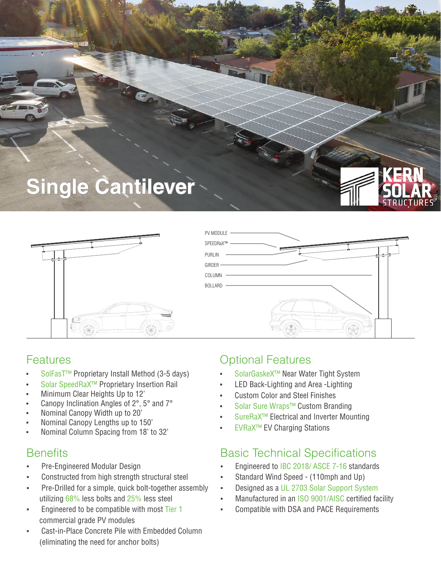



| PV MODULE - |  |
|-------------|--|
| SPEEDRaX™ - |  |
| PURLIN      |  |
| GIRDER -    |  |
| COLUMN      |  |
| BOLLARD     |  |
|             |  |

### Features

- SolFasT<sup>™</sup> Proprietary Install Method (3-5 days)
- Solar SpeedRaX<sup>™</sup> Proprietary Insertion Rail
- Minimum Clear Heights Up to 12'
- Canopy Inclination Angles of 2°, 5° and 7°
- Nominal Canopy Width up to 20'
- Nominal Canopy Lengths up to 150'
- Nominal Column Spacing from 18' to 32'

- Pre-Engineered Modular Design
- Constructed from high strength structural steel
- Pre-Drilled for a simple, quick bolt-together assembly utilizing 68% less bolts and 25% less steel
- Engineered to be compatible with most Tier 1 commercial grade PV modules
- Cast-in-Place Concrete Pile with Embedded Column (eliminating the need for anchor bolts)

### Optional Features

- SolarGaskeX™ Near Water Tight System
- LED Back-Lighting and Area -Lighting
- **Custom Color and Steel Finishes**
- Solar Sure Wraps™ Custom Branding
- SureRaX<sup>™</sup> Electrical and Inverter Mounting
- **EVRaX™ EV Charging Stations**

### Benefits **Basic Technical Specifications**

- Engineered to IBC 2018/ ASCE 7-16 standards
- Standard Wind Speed (110mph and Up)
- Designed as a UL 2703 Solar Support System
- Manufactured in an ISO 9001/AISC certified facility
- Compatible with DSA and PACE Requirements